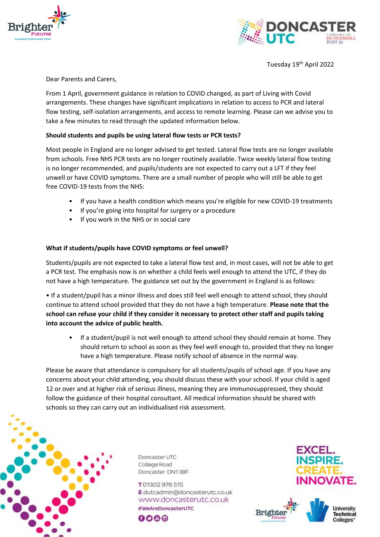



Tuesday 19<sup>th</sup> April 2022

Dear Parents and Carers,

From 1 April, government guidance in relation to COVID changed, as part of Living with Covid arrangements. These changes have significant implications in relation to access to PCR and lateral flow testing, self-isolation arrangements, and access to remote learning. Please can we advise you to take a few minutes to read through the updated information below.

## **Should students and pupils be using lateral flow tests or PCR tests?**

Most people in England are no longer advised to get tested. Lateral flow tests are no longer available from schools. Free NHS PCR tests are no longer routinely available. Twice weekly lateral flow testing is no longer recommended, and pupils/students are not expected to carry out a LFT if they feel unwell or have COVID symptoms. There are a small number of people who will still be able to get free COVID-19 tests from the NHS:

- If you have a health condition which means you're eligible for new COVID-19 treatments
- If you're going into hospital for surgery or a procedure
- If you work in the NHS or in social care

### **What if students/pupils have COVID symptoms or feel unwell?**

Students/pupils are not expected to take a lateral flow test and, in most cases, will not be able to get a PCR test. The emphasis now is on whether a child feels well enough to attend the UTC, if they do not have a high temperature. The guidance set out by the government in England is as follows:

• If a student/pupil has a minor illness and does still feel well enough to attend school, they should continue to attend school provided that they do not have a high temperature. **Please note that the school can refuse your child if they consider it necessary to protect other staff and pupils taking into account the advice of public health.**

If a student/pupil is not well enough to attend school they should remain at home. They should return to school as soon as they feel well enough to, provided that they no longer have a high temperature. Please notify school of absence in the normal way.

Please be aware that attendance is compulsory for all students/pupils of school age. If you have any concerns about your child attending, you should discuss these with your school. If your child is aged 12 or over and at higher risk of serious illness, meaning they are immunosuppressed, they should follow the guidance of their hospital consultant. All medical information should be shared with schools so they can carry out an individualised risk assessment.



Doncaster UTC College Road Doncaster DN13BF

T01302976515 Edutcadmin@doncasterutc.co.uk www.doncasterutc.co.uk #WeAreDoncasterUTC 000@





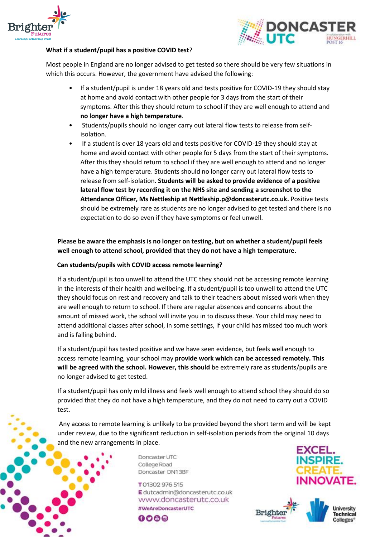



### **What if a student/pupil has a positive COVID test**?

Most people in England are no longer advised to get tested so there should be very few situations in which this occurs. However, the government have advised the following:

- If a student/pupil is under 18 years old and tests positive for COVID-19 they should stay at home and avoid contact with other people for 3 days from the start of their symptoms. After this they should return to school if they are well enough to attend and **no longer have a high temperature**.
- Students/pupils should no longer carry out lateral flow tests to release from selfisolation.
- If a student is over 18 years old and tests positive for COVID-19 they should stay at home and avoid contact with other people for 5 days from the start of their symptoms. After this they should return to school if they are well enough to attend and no longer have a high temperature. Students should no longer carry out lateral flow tests to release from self-isolation. **Students will be asked to provide evidence of a positive lateral flow test by recording it on the NHS site and sending a screenshot to the Attendance Officer, Ms Nettleship at Nettleship.p@doncasterutc.co.uk.** Positive tests should be extremely rare as students are no longer advised to get tested and there is no expectation to do so even if they have symptoms or feel unwell.

# **Please be aware the emphasis is no longer on testing, but on whether a student/pupil feels well enough to attend school, provided that they do not have a high temperature.**

### **Can students/pupils with COVID access remote learning?**

If a student/pupil is too unwell to attend the UTC they should not be accessing remote learning in the interests of their health and wellbeing. If a student/pupil is too unwell to attend the UTC they should focus on rest and recovery and talk to their teachers about missed work when they are well enough to return to school. If there are regular absences and concerns about the amount of missed work, the school will invite you in to discuss these. Your child may need to attend additional classes after school, in some settings, if your child has missed too much work and is falling behind.

If a student/pupil has tested positive and we have seen evidence, but feels well enough to access remote learning, your school may **provide work which can be accessed remotely. This will be agreed with the school. However, this should** be extremely rare as students/pupils are no longer advised to get tested.

If a student/pupil has only mild illness and feels well enough to attend school they should do so provided that they do not have a high temperature, and they do not need to carry out a COVID test.

Any access to remote learning is unlikely to be provided beyond the short term and will be kept under review, due to the significant reduction in self-isolation periods from the original 10 days and the new arrangements in place.

> Doncaster UTC College Road Doncaster DN13BF

T01302976515 Edutcadmin@doncasterutc.co.uk www.doncasterutc.co.uk #WeAreDoncasterUTC 000@